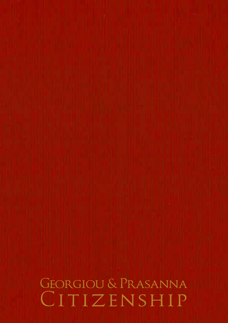# CITIZENSHIP Georgiou & Prasanna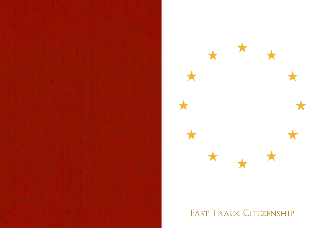

## $\bigstar$ ★  $\bigstar$

## FAST TRACK CITIZENSHIP



v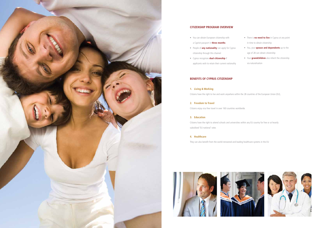

### **CITIZENSHIP PROGRAM OVERVIEW**

- You can obtain European citizenship with a Cypriot passport in **three months**
- People of **any nationality** can apply for Cyprus citizenship through this channel
- Cyprus recognises **dual citizenship** if

applicants wish to retain their current nationality

- There is **no need to live** in Cyprus at any point in time to obtain citizenship
- You, your **spouse and dependents** up to the age of 28 can obtain citizenship
- Your **grandchildren** also inherit the citizenship via naturalisation



### **BENEFITS OF CYPRUS CITIZENSHIP**

### **1. Living & Working**

Citizens have the right to live and work anywhere within the 28 countries of the European Union (EU),

### **2. Freedom to Travel**

Citizens enjoy visa free travel in over 160 countries worldwide.

### **3. Education**

Citizens have the right to attend schools and universities within any EU country for free or at heavily subsidised 'EU national' rates

### **4. Healthcare**

They can also benefit from the world-renowned and leading healthcare systems in the EU



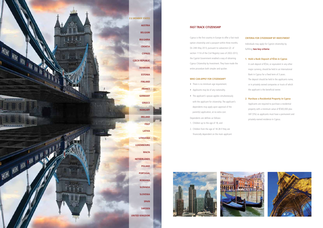### **FAST TRACK CITIZENSHIP**

Cyprus is the first country in Europe to offer a fast track option citizenship and a passport within three months. On 24th May 2013, pursuant to subsection (2) of section 111A of the Civil Registry Laws of 2002-2013, the Cypriot Government enabled a way of obtaining Cyprus Citizenship by Investment. They have made the entire procedure both simpler and quicker.

### **WHO CAN APPLY FOR CITIZENSHIP?**

- There is no minimum age requirement.
- Applicants may be of any nationality.
- The applicant's spouse applies simultaneously with the applicant for citizenship. The applicant's dependents may apply upon approval of the parent(s) application, at no extra cost.

Dependents are defines as follows:

- 1. Children up to the age of 18, and
- 2. Children from the age of 18-28 if they are financially dependent on the main applicant





### **CRITERIA FOR CITIZENSHIP BY INVESTMENT**

Individuals may apply for Cypriot citizenship by fulfilling **two key criteria:**

### **1. Hold a Bank Deposit of €5m in Cyprus**

A cash deposit of €5m, or equivalent in any other major currency, should be held in an International Bank in Cyprus for a fixed term of 3 years. The deposit should be held in the applicants name, or in privately owned companies or trusts of which the applicant is the beneficial owner.

### **2. Purchase a Residential Property in Cyprus**

Applicants are required to purchase a residential property with a minimum value of €500,000 plus VAT (5%) as applicants must have a permanent and privately-owned residence in Cyprus.



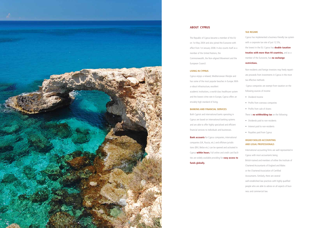

### **ABOUT CYPRUS**

The Republic of Cyprus became a member of the EU on 1st May 2004 and also joined the Eurozone with effect from 1st January 2008. It also counts itself as a member of the United Nations, the Commonwealth, the Non-aligned Movement and the European Council.

### **LIVING IN CYPRUS**

Cyprus enjoys a relaxed, Mediterranean lifestyle and has some of the most popular beaches in Europe. With a robust infrastructure, excellent academic institutions, a world-class healthcare system and the lowest crime rate in Europe, Cyprus offers an enviably high standard of living.

**Bank accounts** for Cyprus companies, international companies (UK, Russia, etc.) and offshore jurisdictions (BVI, Belize etc.) can be opened and activated in Cyprus **within hours.** Full online and credit card facilities are widely available providing for **easy access to funds globally.**

### **BANKING AND FINANCIAL SERVICES**

Both Cypriot and international banks operating in Cyprus are based on international banking systems and are able to offer highly specialised and efficient financial services to individuals and businesses.

### **TAX REGIME**

Cyprus has implemented a business-friendly tax system with a corporate tax rate of just 12.5%, the lowest in the EU. Cyprus has **double taxation treaties with more than 44 countries,** and as a member of the Eurozone, has **no exchange restrictions.** 

Non-residents and foreign investors may freely repatriate proceeds from investments in Cyprus in the most tax effective methods:

 Cyprus companies are exempt from taxation on the following sources of income:

- Dividend Income
- Profits from overseas companies
- Profits from sale of shares

There is **no withholding tax** on the following:

- Dividends paid to non-residents
- Interest paid to non-residents
- Royalties paid from Cyprus

### **HIGHLY-SKILLED ACCOUNTING AND LEGAL PROFESSIONALS**

International accounting firms are well-represented in Cyprus with most accountants being British-trained and members of either the Institute of Chartered Accountants of England and Wales or the Chartered Association of Certified Accountants. Similarly, there are several well-established law practices with highly qualified people who are able to advise on all aspects of business and commercial law.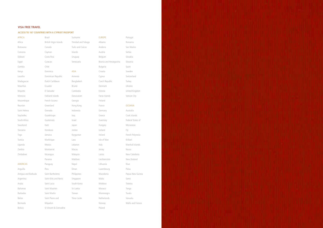| <b>AFRICA</b>       | <b>Brazil</b>        |
|---------------------|----------------------|
| Africa              | British Virgin Islan |
| Botswana            | Canada               |
| Comoros             | Cayman               |
| Djibouti            | Costa Rica           |
| Egypt               | Curacao              |
| Gambia              | Chile                |
| Kenya               | Dominica             |
| Lesotho             | Dominican Repub      |
| Madagascar          | Dutch Caribbean      |
| <b>Mauritius</b>    | Ecuador              |
| Mayotte             | El Salvador          |
| Morocco             | Falkland Islands     |
| Mozambique          | French Guiana        |
| Reunion             | Greenland            |
| Saint Helena        | Grenada              |
| Seychelles          | Guadeloupe           |
| South Africa        | Guatemala            |
| Swaziland           | Haiti                |
| Tanzania            | Honduras             |
| Togo                | Jamaica              |
| Tunisia             | Martinique           |
| Uganda              | Mexico               |
| Zambia              | Montserrat           |
| Zimbabwe            | Nicaragua            |
|                     | Panama               |
| <b>AMERICAS</b>     | Paraguay             |
| Anguilla            | Peru                 |
| Antigua and Barbuda | Saint Barthelemy     |
| Argentina           | Saint Kitts and Ne   |
| Aruba               | Saint Lucia          |
| <b>Bahamas</b>      | Saint Maarten        |
| <b>Barbados</b>     | Saint Martin         |
| Belize              | Saint Pierre and     |
| Bermuda             | Miquelon             |
| Bolivia             | St Vincent & Gren    |

nds bilic evis nadine Trinidad and Tobago Turks and Caicos Islands Uruguay Venezuela ASIA Armenia Bangladesh Brunei Cambodia Darussalam Georgia Hong Kong Indonesia Iraq Israel Japan Jordan Kyrgyzstan Laos Lebanon Macau Malaysia Maldives Nepal Oman Philippines Singapore South Korea Sri Lanka Taiwan Timor Leste

Suriname

EUROPE Albania Andorra Austria Belgium Bosnia and Herzegovina Bulgaria Croatia Cyprus Czech Republic Denmark Estonia Faroe Islands Finland France Germany Greece Guernsey Hungary Iceland Ireland Isle of Man Italy Jersey Latvia Liechtenctein Lithuania Luxembourg Macedonia Malta Moldova Monaco Montenegro Netherlands Norway Poland

Portugal Romania San Marino Serbia Slovakia Slovania Spain Sweden Switzerland Turkey Ukraine United Kingdom Vatican City OCEANIA Australia Cook Islands Federal States of Micronesia Fiji French Polynesia Kiribati Marshall Islands Nauru New Caledonia New Zealand Niue Palau Papua New Guinea Samo Tokelau Tonga Tuvalu Vanuatu Wallis and Futuna



### **VISA FREE TRAVEL**

### **ACCESS TO 167 COUNTRIES WITH A CYPRIOT PASSPORT**